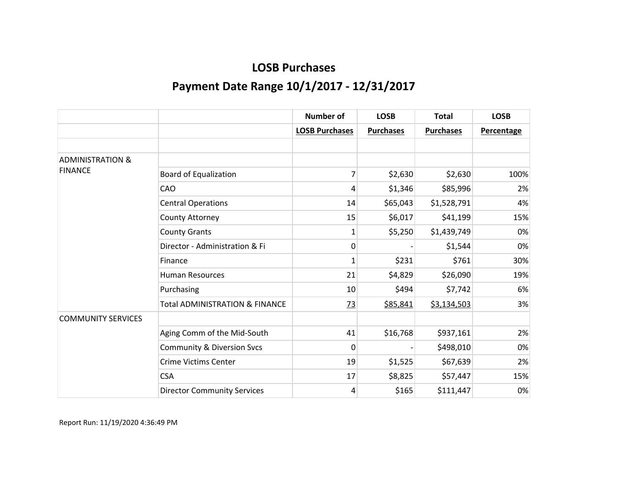|                             |                                           | <b>Number of</b>      | <b>LOSB</b>      | <b>Total</b>     | <b>LOSB</b>       |
|-----------------------------|-------------------------------------------|-----------------------|------------------|------------------|-------------------|
|                             |                                           | <b>LOSB Purchases</b> | <b>Purchases</b> | <b>Purchases</b> | <b>Percentage</b> |
|                             |                                           |                       |                  |                  |                   |
| <b>ADMINISTRATION &amp;</b> |                                           |                       |                  |                  |                   |
| <b>FINANCE</b>              | <b>Board of Equalization</b>              | 7                     | \$2,630          | \$2,630          | 100%              |
|                             | CAO                                       | 4                     | \$1,346          | \$85,996         | 2%                |
|                             | <b>Central Operations</b>                 | 14                    | \$65,043         | \$1,528,791      | 4%                |
|                             | County Attorney                           | 15                    | \$6,017          | \$41,199         | 15%               |
|                             | <b>County Grants</b>                      | $\mathbf{1}$          | \$5,250          | \$1,439,749      | 0%                |
|                             | Director - Administration & Fi            | 0                     |                  | \$1,544          | 0%                |
|                             | Finance                                   | $\mathbf{1}$          | \$231            | \$761            | 30%               |
|                             | <b>Human Resources</b>                    | 21                    | \$4,829          | \$26,090         | 19%               |
|                             | Purchasing                                | 10                    | \$494            | \$7,742          | 6%                |
|                             | <b>Total ADMINISTRATION &amp; FINANCE</b> | $\frac{73}{2}$        | \$85,841         | \$3,134,503      | 3%                |
| <b>COMMUNITY SERVICES</b>   |                                           |                       |                  |                  |                   |
|                             | Aging Comm of the Mid-South               | 41                    | \$16,768         | \$937,161        | 2%                |
|                             | <b>Community &amp; Diversion Svcs</b>     | 0                     |                  | \$498,010        | 0%                |
|                             | <b>Crime Victims Center</b>               | 19                    | \$1,525          | \$67,639         | 2%                |
|                             | <b>CSA</b>                                | 17                    | \$8,825          | \$57,447         | 15%               |
|                             | <b>Director Community Services</b>        | 4                     | \$165            | \$111,447        | 0%                |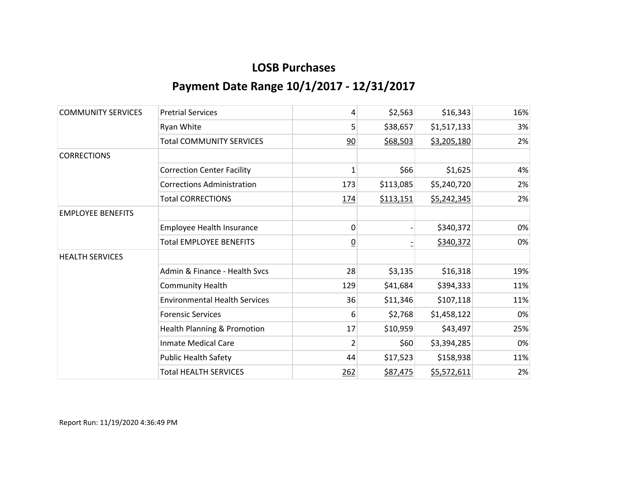| <b>COMMUNITY SERVICES</b> | <b>Pretrial Services</b>             | 4              | \$2,563   | \$16,343    | 16% |
|---------------------------|--------------------------------------|----------------|-----------|-------------|-----|
|                           | Ryan White                           | 5              | \$38,657  | \$1,517,133 | 3%  |
|                           | <b>Total COMMUNITY SERVICES</b>      | 90             | \$68,503  | \$3,205,180 | 2%  |
| <b>CORRECTIONS</b>        |                                      |                |           |             |     |
|                           | <b>Correction Center Facility</b>    | $\mathbf{1}$   | \$66      | \$1,625     | 4%  |
|                           | <b>Corrections Administration</b>    | 173            | \$113,085 | \$5,240,720 | 2%  |
|                           | <b>Total CORRECTIONS</b>             | 174            | \$113,151 | \$5,242,345 | 2%  |
| <b>EMPLOYEE BENEFITS</b>  |                                      |                |           |             |     |
|                           | Employee Health Insurance            | 0              |           | \$340,372   | 0%  |
|                           | <b>Total EMPLOYEE BENEFITS</b>       | <u>0</u>       |           | \$340,372   | 0%  |
| <b>HEALTH SERVICES</b>    |                                      |                |           |             |     |
|                           | Admin & Finance - Health Svcs        | 28             | \$3,135   | \$16,318    | 19% |
|                           | <b>Community Health</b>              | 129            | \$41,684  | \$394,333   | 11% |
|                           | <b>Environmental Health Services</b> | 36             | \$11,346  | \$107,118   | 11% |
|                           | <b>Forensic Services</b>             | 6              | \$2,768   | \$1,458,122 | 0%  |
|                           | Health Planning & Promotion          | 17             | \$10,959  | \$43,497    | 25% |
|                           | <b>Inmate Medical Care</b>           | $\overline{2}$ | \$60      | \$3,394,285 | 0%  |
|                           | <b>Public Health Safety</b>          | 44             | \$17,523  | \$158,938   | 11% |
|                           | <b>Total HEALTH SERVICES</b>         | 262            | \$87,475  | \$5,572,611 | 2%  |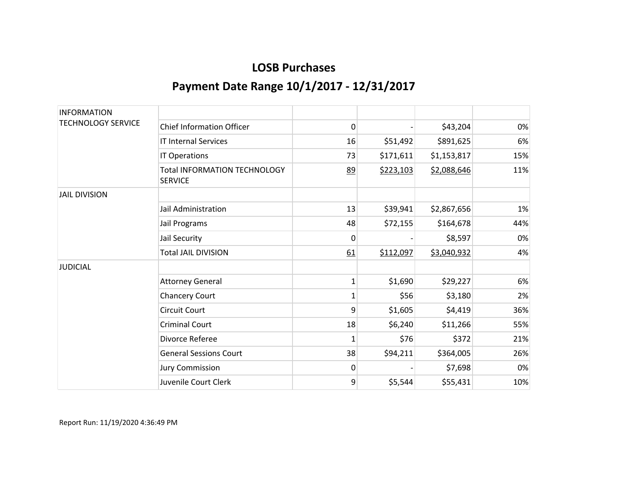| <b>INFORMATION</b>        |                                                       |              |           |             |     |
|---------------------------|-------------------------------------------------------|--------------|-----------|-------------|-----|
| <b>TECHNOLOGY SERVICE</b> | <b>Chief Information Officer</b>                      | 0            |           | \$43,204    | 0%  |
|                           | <b>IT Internal Services</b>                           | 16           | \$51,492  | \$891,625   | 6%  |
|                           | IT Operations                                         | 73           | \$171,611 | \$1,153,817 | 15% |
|                           | <b>Total INFORMATION TECHNOLOGY</b><br><b>SERVICE</b> | 89           | \$223,103 | \$2,088,646 | 11% |
| <b>JAIL DIVISION</b>      |                                                       |              |           |             |     |
|                           | Jail Administration                                   | 13           | \$39,941  | \$2,867,656 | 1%  |
|                           | Jail Programs                                         | 48           | \$72,155  | \$164,678   | 44% |
|                           | Jail Security                                         | 0            |           | \$8,597     | 0%  |
|                           | <b>Total JAIL DIVISION</b>                            | 61           | \$112,097 | \$3,040,932 | 4%  |
| <b>JUDICIAL</b>           |                                                       |              |           |             |     |
|                           | <b>Attorney General</b>                               | $\mathbf{1}$ | \$1,690   | \$29,227    | 6%  |
|                           | <b>Chancery Court</b>                                 | 1            | \$56      | \$3,180     | 2%  |
|                           | <b>Circuit Court</b>                                  | 9            | \$1,605   | \$4,419     | 36% |
|                           | <b>Criminal Court</b>                                 | 18           | \$6,240   | \$11,266    | 55% |
|                           | Divorce Referee                                       | 1            | \$76      | \$372       | 21% |
|                           | <b>General Sessions Court</b>                         | 38           | \$94,211  | \$364,005   | 26% |
|                           | <b>Jury Commission</b>                                | 0            |           | \$7,698     | 0%  |
|                           | Juvenile Court Clerk                                  | 9            | \$5,544   | \$55,431    | 10% |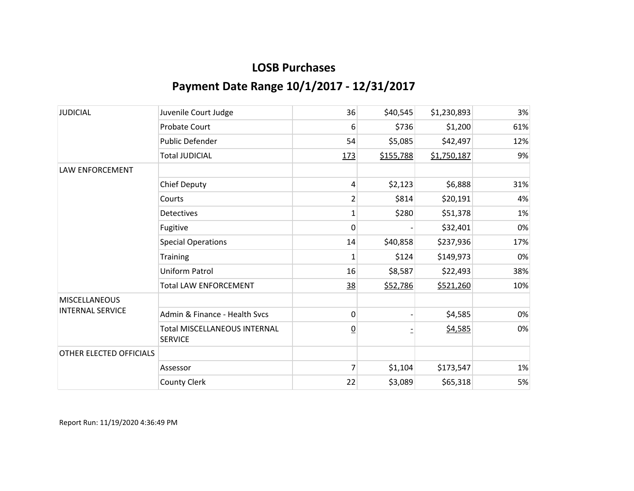| <b>JUDICIAL</b>                                 | Juvenile Court Judge                                  | 36             | \$40,545  | \$1,230,893 | 3%  |
|-------------------------------------------------|-------------------------------------------------------|----------------|-----------|-------------|-----|
|                                                 | <b>Probate Court</b>                                  | 6              | \$736     | \$1,200     | 61% |
|                                                 | Public Defender                                       | 54             | \$5,085   | \$42,497    | 12% |
|                                                 | <b>Total JUDICIAL</b>                                 | 173            | \$155,788 | \$1,750,187 | 9%  |
| <b>LAW ENFORCEMENT</b>                          |                                                       |                |           |             |     |
|                                                 | <b>Chief Deputy</b>                                   | 4              | \$2,123   | \$6,888     | 31% |
|                                                 | Courts                                                | $\overline{2}$ | \$814     | \$20,191    | 4%  |
|                                                 | <b>Detectives</b>                                     | 1              | \$280     | \$51,378    | 1%  |
|                                                 | Fugitive                                              | 0              |           | \$32,401    | 0%  |
|                                                 | <b>Special Operations</b>                             | 14             | \$40,858  | \$237,936   | 17% |
|                                                 | Training                                              | $\mathbf{1}$   | \$124     | \$149,973   | 0%  |
|                                                 | Uniform Patrol                                        | 16             | \$8,587   | \$22,493    | 38% |
|                                                 | <b>Total LAW ENFORCEMENT</b>                          | <u>38</u>      | \$52,786  | \$521,260   | 10% |
| <b>MISCELLANEOUS</b><br><b>INTERNAL SERVICE</b> |                                                       |                |           |             |     |
|                                                 | Admin & Finance - Health Svcs                         | 0              |           | \$4,585     | 0%  |
|                                                 | <b>Total MISCELLANEOUS INTERNAL</b><br><b>SERVICE</b> | $\overline{0}$ |           | \$4,585     | 0%  |
| OTHER ELECTED OFFICIALS                         |                                                       |                |           |             |     |
|                                                 | Assessor                                              | $\overline{7}$ | \$1,104   | \$173,547   | 1%  |
|                                                 | <b>County Clerk</b>                                   | 22             | \$3,089   | \$65,318    | 5%  |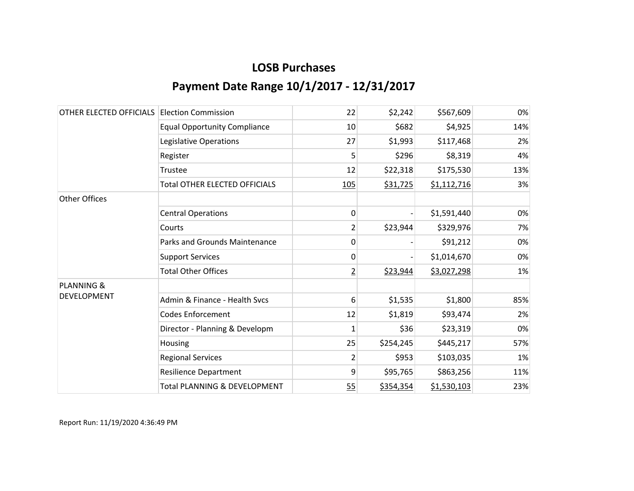| OTHER ELECTED OFFICIALS | <b>Election Commission</b>              | 22             | \$2,242   | \$567,609   | 0%  |
|-------------------------|-----------------------------------------|----------------|-----------|-------------|-----|
|                         | <b>Equal Opportunity Compliance</b>     | 10             | \$682     | \$4,925     | 14% |
|                         | Legislative Operations                  | 27             | \$1,993   | \$117,468   | 2%  |
|                         | Register                                | 5              | \$296     | \$8,319     | 4%  |
|                         | Trustee                                 | 12             | \$22,318  | \$175,530   | 13% |
|                         | <b>Total OTHER ELECTED OFFICIALS</b>    | 105            | \$31,725  | \$1,112,716 | 3%  |
| <b>Other Offices</b>    |                                         |                |           |             |     |
|                         | <b>Central Operations</b>               | 0              |           | \$1,591,440 | 0%  |
|                         | Courts                                  | 2              | \$23,944  | \$329,976   | 7%  |
|                         | Parks and Grounds Maintenance           | 0              |           | \$91,212    | 0%  |
|                         | <b>Support Services</b>                 | 0              |           | \$1,014,670 | 0%  |
|                         | <b>Total Other Offices</b>              | $\overline{2}$ | \$23,944  | \$3,027,298 | 1%  |
| <b>PLANNING &amp;</b>   |                                         |                |           |             |     |
| <b>DEVELOPMENT</b>      | Admin & Finance - Health Svcs           | 6              | \$1,535   | \$1,800     | 85% |
|                         | <b>Codes Enforcement</b>                | 12             | \$1,819   | \$93,474    | 2%  |
|                         | Director - Planning & Developm          | $\mathbf 1$    | \$36      | \$23,319    | 0%  |
|                         | Housing                                 | 25             | \$254,245 | \$445,217   | 57% |
|                         | <b>Regional Services</b>                | 2              | \$953     | \$103,035   | 1%  |
|                         | <b>Resilience Department</b>            | 9              | \$95,765  | \$863,256   | 11% |
|                         | <b>Total PLANNING &amp; DEVELOPMENT</b> | 55             | \$354,354 | \$1,530,103 | 23% |